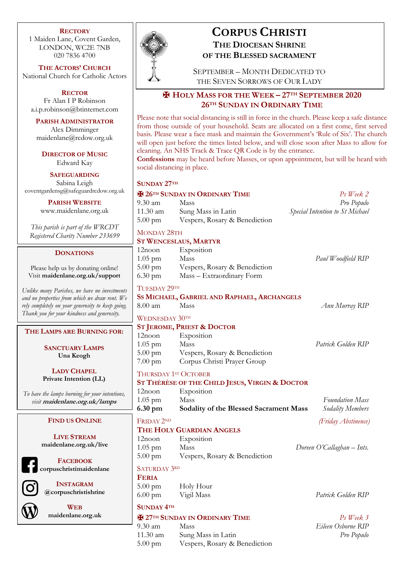#### **RECTORY**

1 Maiden Lane, Covent Garden, LONDON, WC2E 7NB 020 7836 4700

**THE ACTORS' CHURCH** National Church for Catholic Actors

**RECTOR** Fr Alan I P Robinson a.i.p.robinson@btinternet.com

**PARISH ADMINISTRATOR** Alex Dimminger maidenlane@rcdow.org.uk

**DIRECTOR OF MUSIC** Edward Kay

**SAFEGUARDING** Sabina Leigh coventgardensg@safeguardrcdow.org.uk

**PARISH WEBSITE**

www.maidenlane.org.uk

*This parish is part of the WRCDT Registered Charity Number 233699*

#### **DONATIONS**

Please help us by donating online! Visit **maidenlane.org.uk/support**

*Unlike many Parishes, we have no investments and no properties from which we draw rent. We rely completely on your generosity to keep going. Thank you for your kindness and generosity.* 

**THE LAMPS ARE BURNING FOR:**

**SANCTUARY LAMPS Una Keogh**

**LADY CHAPEL Private Intention (LL)**

*To have the lamps burning for your intentions, visit* **maidenlane.org.uk/lamps**

#### **FIND US ONLINE**

**LIVE STREAM maidenlane.org.uk/live**

**FACEBOOK corpuschristimaidenlane**

**INSTAGRAM @corpuschristishrine**

**WEB maidenlane.org.uk**



# **CORPUS CHRISTI THE DIOCESAN SHRINE OF THE BLESSED SACRAMENT**

SEPTEMBER – MONTH DEDICATED TO THE SEVEN SORROWS OF OUR LADY

## ✠ **HOLY MASS FOR THE WEEK – 27TH SEPTEMBER 2020 26TH SUNDAY IN ORDINARY TIME**

Please note that social distancing is still in force in the church. Please keep a safe distance from those outside of your household. Seats are allocated on a first come, first served basis. Please wear a face mask and maintain the Government's 'Rule of Six'. The church will open just before the times listed below, and will close soon after Mass to allow for cleaning. An NHS Track & Trace QR Code is by the entrance.

**Confessions** may be heard before Masses, or upon appointment, but will be heard with social distancing in place.

#### **SUNDAY 27TH**

| <b>E 26TH SUNDAY IN ORDINARY TIME</b> |                               | Ps Week 2                       |
|---------------------------------------|-------------------------------|---------------------------------|
| $9.30 \text{ am}$                     | <b>Mass</b>                   | Pro Populo                      |
| $11.30$ am                            | Sung Mass in Latin            | Special Intention to St Michael |
| $5.00 \text{ pm}$                     | Vespers, Rosary & Benediction |                                 |

### MONDAY 28TH

#### **ST WENCESLAUS, MARTYR**

| 12noon            | Exposition                    |                    |
|-------------------|-------------------------------|--------------------|
| $1.05 \text{ pm}$ | Mass                          | Paul Woodfield RIP |
| $5.00 \text{ pm}$ | Vespers, Rosary & Benediction |                    |
| 6.30 pm           | Mass – Extraordinary Form     |                    |
|                   |                               |                    |

#### TUESDAY 29TH

### **SS MICHAEL, GABRIEL AND RAPHAEL, ARCHANGELS**

8.00 am Mass *Ann Murray RIP*

# WEDNESDAY 30TH

# **ST JEROME, PRIEST & DOCTOR** 12noon Exposition

1.05 pm Mass *Patrick Golden RIP* 5.00 pm Vespers, Rosary & Benediction 7.00 pm Corpus Christi Prayer Group

#### THURSDAY 1<sup>ST</sup> OCTOBER

# **ST THÉRÈSE OF THE CHILD JESUS, VIRGIN & DOCTOR**

| 6.30 pm   | Sodality of the Blessed Sacrament Mass | Sodality Members       |
|-----------|----------------------------------------|------------------------|
| $1.05$ pm | Mass                                   | <b>Foundation Mass</b> |
| 12noon    | Exposition                             |                        |

#### FRIDAY 2ND *(Friday Abstinence)* **THE HOLY GUARDIAN ANGELS**

| <b>THE HOLI QUARDIAN AINGELS</b> |                               |                            |  |  |
|----------------------------------|-------------------------------|----------------------------|--|--|
| 12noon                           | Exposition                    |                            |  |  |
| $1.05$ pm                        | Mass                          | Doreen O'Callaghan - Ints. |  |  |
| $5.00 \text{ pm}$                | Vespers, Rosary & Benediction |                            |  |  |

#### SATURDAY 3RD

**FERIA** 5.00 pm Holy Hour 6.00 pm Vigil Mass *Patrick Golden RIP*

## **SUNDAY 4TH**

## ✠ **27TH SUNDAY IN ORDINARY TIME** *Ps Week 3*

9.30 am Mass *Eileen Osborne RIP* 11.30 am Sung Mass in Latin *Pro Populo* 5.00 pm Vespers, Rosary & Benediction